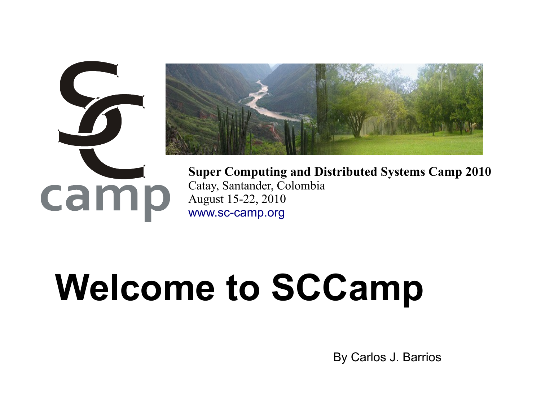



**Super Computing and Distributed Systems Camp 2010** Catay, Santander, Colombia August 15-22, 2010 [www.sc-camp.org](http://www.sc-camp.org/)

## **Welcome to SCCamp**

By Carlos J. Barrios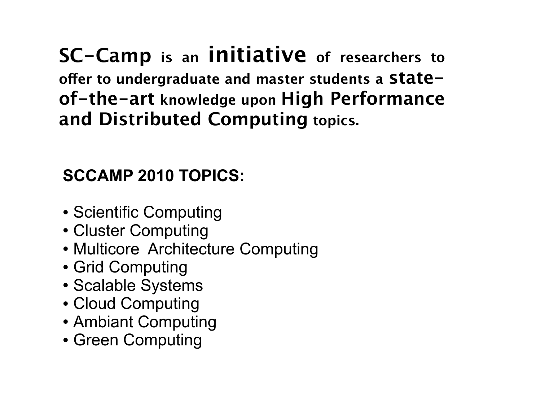**SC-Camp is an initiative of researchers to ofer to undergraduate and master students a stateof-the-art knowledge upon High Performance and Distributed Computing topics.**

#### **SCCAMP 2010 TOPICS:**

- Scientific Computing
- Cluster Computing
- Multicore Architecture Computing
- Grid Computing
- Scalable Systems
- Cloud Computing
- Ambiant Computing
- Green Computing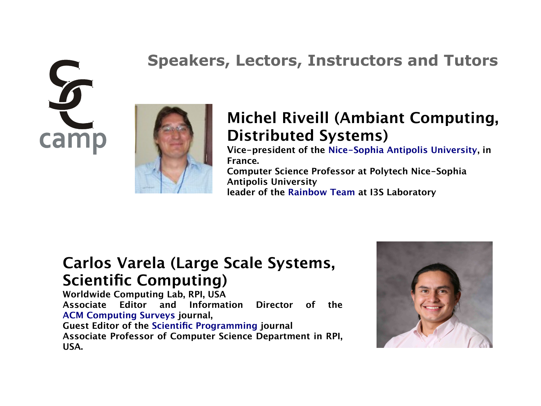#### **Speakers, Lectors, Instructors and Tutors**





#### **Michel Riveill (Ambiant Computing, Distributed Systems)**

**Vice-president of the [Nice-Sophia Antipolis University,](http://www.unice.fr/) in France. Computer Science Professor at Polytech Nice-Sophia** 

**Antipolis University leader of the [Rainbow Team](http://rainbow.i3s.unice.fr/) at I3S Laboratory**

#### **Carlos Varela (Large Scale Systems, Scientifc Computing)**

**Worldwide Computing Lab, RPI, USA Associate Editor and Information Director of the [ACM Computing Surveys](http://www.acm.org/pubs/surveys/) journal, Guest Editor of the [Scientifc Programming](http://iospress.metapress.com/openurl.asp?genre=issue&issn=1058-9244&volume=13&issue=4) journal Associate Professor of Computer Science Department in RPI, USA.**

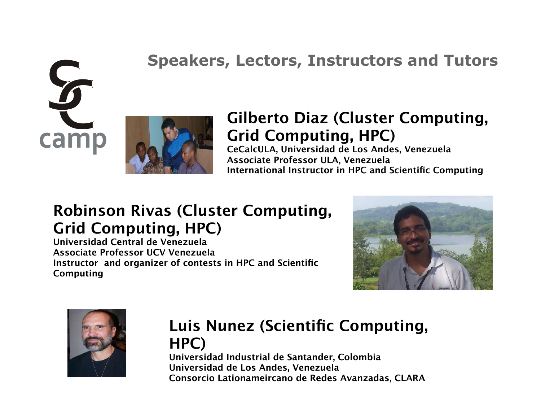# camp



#### **Speakers, Lectors, Instructors and Tutors**

#### **Gilberto Diaz (Cluster Computing, Grid Computing, HPC)**

**CeCalcULA, Universidad de Los Andes, Venezuela Associate Professor ULA, Venezuela International Instructor in HPC and Scientifc Computing** 

#### **Robinson Rivas (Cluster Computing, Grid Computing, HPC)**

**Universidad Central de Venezuela Associate Professor UCV Venezuela Instructor and organizer of contests in HPC and Scientifc Computing** 





#### **Luis Nunez (Scientifc Computing, HPC)**

**Universidad Industrial de Santander, Colombia Universidad de Los Andes, Venezuela Consorcio Lationameircano de Redes Avanzadas, CLARA**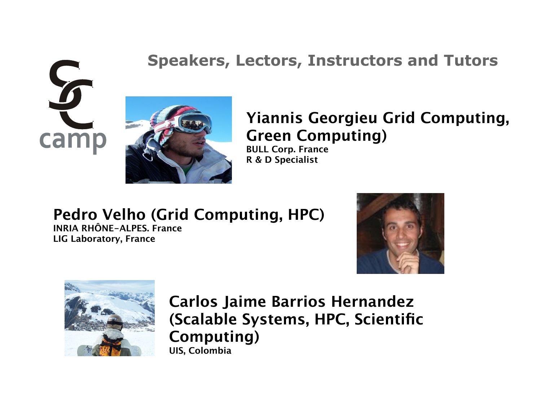camp



#### **Speakers, Lectors, Instructors and Tutors**

#### **Yiannis Georgieu Grid Computing, Green Computing)**

**BULL Corp. France R & D Specialist**

#### **Pedro Velho (Grid Computing, HPC) INRIA RHÔNE-ALPES. France LIG Laboratory, France**





**Carlos Jaime Barrios Hernandez (Scalable Systems, HPC, Scientifc Computing) UIS, Colombia**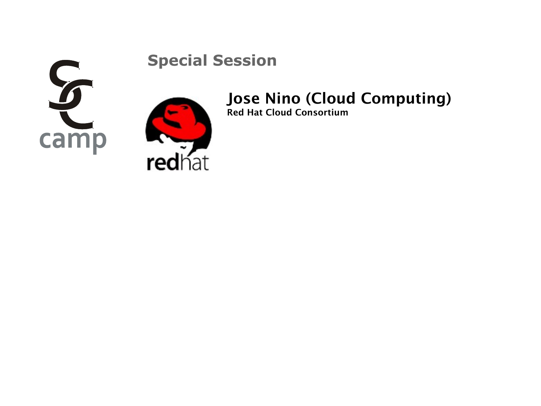

**Special Session**



**Jose Nino (Cloud Computing)** 

**Red Hat Cloud Consortium**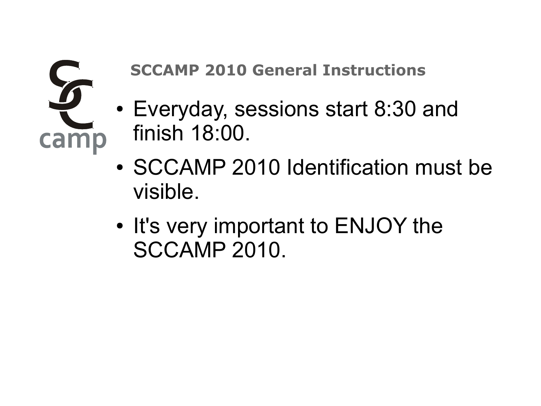

#### **SCCAMP 2010 General Instructions**

- Everyday, sessions start 8:30 and finish 18:00.
- SCCAMP 2010 Identification must be visible.
- It's very important to ENJOY the SCCAMP 2010.